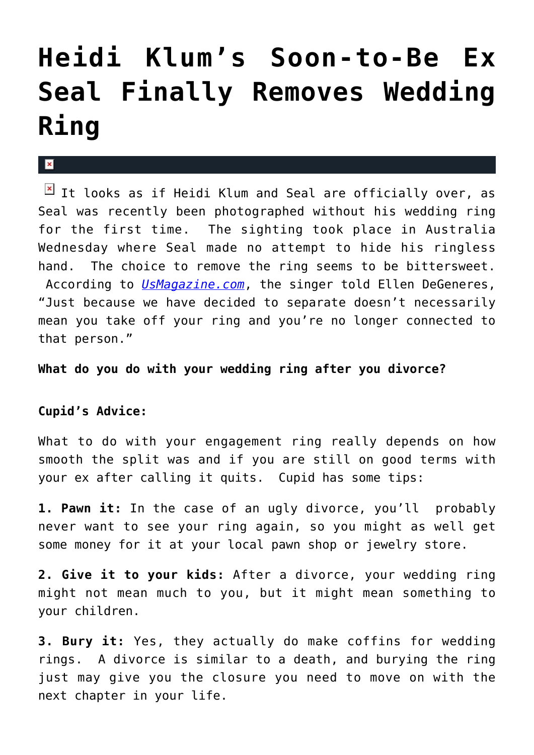## **[Heidi Klum's Soon-to-Be Ex](https://cupidspulse.com/27421/heidi-klum-ex-husband-seal-removes-wedding-ring/) [Seal Finally Removes Wedding](https://cupidspulse.com/27421/heidi-klum-ex-husband-seal-removes-wedding-ring/) [Ring](https://cupidspulse.com/27421/heidi-klum-ex-husband-seal-removes-wedding-ring/)**

## $\mathbf{R}$

 $\boxed{\times}$  It looks as if Heidi Klum and Seal are officially over, as Seal was recently been photographed without his wedding ring for the first time. The sighting took place in Australia Wednesday where Seal made no attempt to hide his ringless hand. The choice to remove the ring seems to be bittersweet. According to *[UsMagazine.com](http://www.usmagazine.com/celebrity-news/news/pic-heidi-klums-estranged-husband-seal-removes-wedding-ring-2012152)*, the singer told Ellen DeGeneres, "Just because we have decided to separate doesn't necessarily mean you take off your ring and you're no longer connected to that person."

**What do you do with your wedding ring after you divorce?**

## **Cupid's Advice:**

What to do with your engagement ring really depends on how smooth the split was and if you are still on good terms with your ex after calling it quits. Cupid has some tips:

**1. Pawn it:** In the case of an ugly divorce, you'll probably never want to see your ring again, so you might as well get some money for it at your local pawn shop or jewelry store.

**2. Give it to your kids:** After a divorce, your wedding ring might not mean much to you, but it might mean something to your children.

**3. Bury it:** Yes, they actually do make coffins for wedding rings. A divorce is similar to a death, and burying the ring just may give you the closure you need to move on with the next chapter in your life.